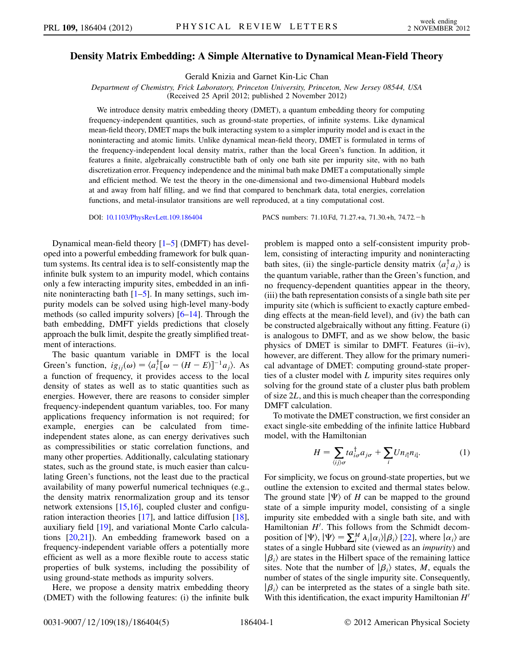## Density Matrix Embedding: A Simple Alternative to Dynamical Mean-Field Theory

Gerald Knizia and Garnet Kin-Lic Chan

Department of Chemistry, Frick Laboratory, Princeton University, Princeton, New Jersey 08544, USA

(Received 25 April 2012; published 2 November 2012)

We introduce density matrix embedding theory (DMET), a quantum embedding theory for computing frequency-independent quantities, such as ground-state properties, of infinite systems. Like dynamical mean-field theory, DMET maps the bulk interacting system to a simpler impurity model and is exact in the noninteracting and atomic limits. Unlike dynamical mean-field theory, DMET is formulated in terms of the frequency-independent local density matrix, rather than the local Green's function. In addition, it features a finite, algebraically constructible bath of only one bath site per impurity site, with no bath discretization error. Frequency independence and the minimal bath make DMET a computationally simple and efficient method. We test the theory in the one-dimensional and two-dimensional Hubbard models at and away from half filling, and we find that compared to benchmark data, total energies, correlation functions, and metal-insulator transitions are well reproduced, at a tiny computational cost.

DOI: [10.1103/PhysRevLett.109.186404](http://dx.doi.org/10.1103/PhysRevLett.109.186404) PACS numbers: 71.10.Fd, 71.27.+a, 71.30.+h, 74.72.<sup>h</sup>

Dynamical mean-field theory [[1](#page-4-0)[–5\]](#page-4-1) (DMFT) has developed into a powerful embedding framework for bulk quantum systems. Its central idea is to self-consistently map the infinite bulk system to an impurity model, which contains only a few interacting impurity sites, embedded in an infinite noninteracting bath  $[1-5]$  $[1-5]$  $[1-5]$ . In many settings, such impurity models can be solved using high-level many-body methods (so called impurity solvers) [[6–](#page-4-2)[14](#page-4-3)]. Through the bath embedding, DMFT yields predictions that closely approach the bulk limit, despite the greatly simplified treatment of interactions.

The basic quantum variable in DMFT is the local Green's function,  $ig_{ij}(\omega) = \langle a_i^{\dagger} [\omega - (H - E)]^{-1} a_j \rangle$ . As a function of frequency, it provides access to the local density of states as well as to static quantities such as energies. However, there are reasons to consider simpler frequency-independent quantum variables, too. For many applications frequency information is not required; for example, energies can be calculated from timeindependent states alone, as can energy derivatives such as compressibilities or static correlation functions, and many other properties. Additionally, calculating stationary states, such as the ground state, is much easier than calculating Green's functions, not the least due to the practical availability of many powerful numerical techniques (e.g., the density matrix renormalization group and its tensor network extensions [\[15](#page-4-4)[,16\]](#page-4-5), coupled cluster and configuration interaction theories [\[17\]](#page-4-6), and lattice diffusion [[18\]](#page-4-7), auxiliary field [[19](#page-4-8)], and variational Monte Carlo calculations [\[20,](#page-4-9)[21\]](#page-4-10)). An embedding framework based on a frequency-independent variable offers a potentially more efficient as well as a more flexible route to access static properties of bulk systems, including the possibility of using ground-state methods as impurity solvers.

Here, we propose a density matrix embedding theory (DMET) with the following features: (i) the infinite bulk problem is mapped onto a self-consistent impurity problem, consisting of interacting impurity and noninteracting bath sites, (ii) the single-particle density matrix  $\langle a_i^{\dagger} a_j \rangle$  is<br>the quantum variable, rather than the Green's function, and the quantum variable, rather than the Green's function, and no frequency-dependent quantities appear in the theory, (iii) the bath representation consists of a single bath site per impurity site (which is sufficient to exactly capture embedding effects at the mean-field level), and (iv) the bath can be constructed algebraically without any fitting. Feature (i) is analogous to DMFT, and as we show below, the basic physics of DMET is similar to DMFT. Features (ii–iv), however, are different. They allow for the primary numerical advantage of DMET: computing ground-state properties of a cluster model with L impurity sites requires only solving for the ground state of a cluster plus bath problem of size 2L, and this is much cheaper than the corresponding DMFT calculation.

<span id="page-0-0"></span>To motivate the DMET construction, we first consider an exact single-site embedding of the infinite lattice Hubbard model, with the Hamiltonian

$$
H = \sum_{\langle ij \rangle \sigma} t a_{i\sigma}^{\dagger} a_{j\sigma} + \sum_{i} U n_{i\uparrow} n_{i\downarrow}.
$$
 (1)

For simplicity, we focus on ground-state properties, but we outline the extension to excited and thermal states below. The ground state  $|\Psi\rangle$  of H can be mapped to the ground state of a simple impurity model, consisting of a single impurity site embedded with a single bath site, and with Hamiltonian  $H'$ . This follows from the Schmidt decomposition of  $|\Psi\rangle$ ,  $|\Psi\rangle = \sum_{i}^{M} \lambda_i |\alpha_i\rangle |\beta_i\rangle$  [\[22\]](#page-4-11), where  $|\alpha_i\rangle$  are states of a single Hubbard site (viewed as an *impurity*) and states of a single Hubbard site (viewed as an impurity) and  $|\beta_i\rangle$  are states in the Hilbert space of the remaining lattice sites. Note that the number of  $|\beta_i\rangle$  states, M, equals the number of states of the single impurity site. Consequently,  $|\beta_i\rangle$  can be interpreted as the states of a single bath site. With this identification, the exact impurity Hamiltonian  $H<sup>1</sup>$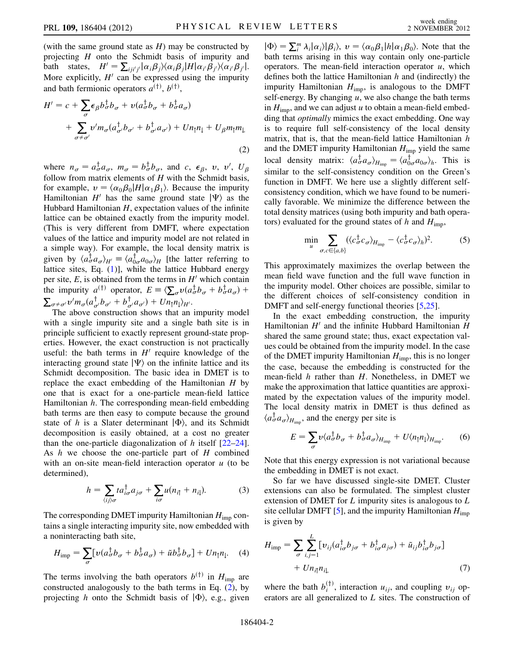(with the same ground state as  $H$ ) may be constructed by projecting  $H$  onto the Schmidt basis of impurity and bath states,  $H' = \sum_{ij} i'_{j'} |\alpha_{i}\beta_{j}\rangle\langle\alpha_{i}\beta_{j}|H|\alpha_{i'}\beta_{j'}\rangle\langle\alpha_{i'}\beta_{j'}|$ .<br>More explicitly  $H'$  can be expressed using the impurity More explicitly,  $H'$  can be expressed using the impurity and bath fermionic operators  $a^{(\dagger)}, b^{(\dagger)}$ ,

<span id="page-1-0"></span>
$$
H' = c + \sum_{\sigma} \epsilon_{\beta} b_{\sigma}^{\dagger} b_{\sigma} + v(a_{\sigma}^{\dagger} b_{\sigma} + b_{\sigma}^{\dagger} a_{\sigma})
$$
  
+ 
$$
\sum_{\sigma \neq \sigma'} v' m_{\sigma} (a_{\sigma'}^{\dagger} b_{\sigma'} + b_{\sigma'}^{\dagger} a_{\sigma'}) + U n_{\uparrow} n_{\downarrow} + U_{\beta} m_{\uparrow} m_{\downarrow}
$$
  
(2)

where  $n_{\sigma} = a_{\sigma}^{\dagger} a_{\sigma}$ ,  $m_{\sigma} = b_{\sigma}^{\dagger} b_{\sigma}$ , and c,  $\epsilon_{\beta}$ , v, v',  $U_{\beta}$ <br>follow from matrix elements of H with the Schmidt basis follow from matrix elements of  $H$  with the Schmidt basis, for example,  $v = \langle \alpha_0 \beta_0 | H | \alpha_1 \beta_1 \rangle$ . Because the impurity Hamiltonian H<sup>t</sup> has the same ground state  $|\Psi\rangle$  as the Hubbard Hamiltonian  $H$ , expectation values of the infinite lattice can be obtained exactly from the impurity model. (This is very different from DMFT, where expectation values of the lattice and impurity model are not related in a simple way). For example, the local density matrix is given by  $\langle a_{\sigma}^{\dagger} a_{\sigma} \rangle_{H'} \equiv \langle a_{0\sigma}^{\dagger} a_{0\sigma} \rangle_{H}$  [the latter referring to lattice sites Eq. (1)] while the lattice Hubbard energy lattice sites, Eq. [\(1](#page-0-0))], while the lattice Hubbard energy per site,  $E$ , is obtained from the terms in  $H'$  which contain the impurity  $a^{(\dagger)}$  operator,  $E = \langle \sum_{\sigma} v(a_{\sigma}^{\dagger}b_{\sigma} + b_{\sigma}^{\dagger}a_{\sigma}) +$  $\sum_{\sigma \neq \sigma'} v' m_{\sigma} (a_{\sigma'}^{\dagger} b_{\sigma'} + b_{\sigma'}^{\dagger} a_{\sigma'}) + Un_{\uparrow} n_{\downarrow} \rangle_{H'}.$ <br>The above construction shows that an

The above construction shows that an impurity model with a single impurity site and a single bath site is in principle sufficient to exactly represent ground-state properties. However, the exact construction is not practically useful: the bath terms in  $H'$  require knowledge of the interacting ground state  $|\Psi\rangle$  on the infinite lattice and its Schmidt decomposition. The basic idea in DMET is to replace the exact embedding of the Hamiltonian  $H$  by one that is exact for a one-particle mean-field lattice Hamiltonian  $h$ . The corresponding mean-field embedding bath terms are then easy to compute because the ground state of h is a Slater determinant  $|\Phi\rangle$ , and its Schmidt<br>decomposition is easily obtained at a cost no greater decomposition is easily obtained, at a cost no greater than the one-particle diagonalization of h itself  $[22-24]$  $[22-24]$  $[22-24]$ . As h we choose the one-particle part of H combined with an on-site mean-field interaction operator  $u$  (to be determined),

$$
h = \sum_{\langle ij \rangle \sigma} t a_{i\sigma}^{\dagger} a_{j\sigma} + \sum_{i\sigma} u(n_{i\uparrow} + n_{i\downarrow}). \tag{3}
$$

<span id="page-1-1"></span>The corresponding DMET impurity Hamiltonian  $H_{\text{imp}}$  contains a single interacting impurity site, now embedded with a noninteracting bath site,

<span id="page-1-2"></span>
$$
H_{\text{imp}} = \sum_{\sigma} \left[ \nu (a_{\sigma}^{\dagger} b_{\sigma} + b_{\sigma}^{\dagger} a_{\sigma}) + \tilde{u} b_{\sigma}^{\dagger} b_{\sigma} \right] + U n_{\uparrow} n_{\downarrow}. \quad (4)
$$

The terms involving the bath operators  $b^{(\dagger)}$  in  $H_{\text{imp}}$  are constructed analogously to the bath terms in Eq. [\(2](#page-1-0)), by projecting h onto the Schmidt basis of  $|\Phi\rangle$ , e.g., given

 $|\Phi\rangle = \sum_{i=1}^{m} \lambda_i |\alpha_i\rangle |\beta_i\rangle$ ,  $v = \langle \alpha_0 \beta_1 | h | \alpha_1 \beta_0 \rangle$ . Note that the bath terms arising in this way contain only one-particle bath terms arising in this way contain only one-particle operators. The mean-field interaction operator  $u$ , which defines both the lattice Hamiltonian  $h$  and (indirectly) the impurity Hamiltonian  $H_{\text{imp}}$ , is analogous to the DMFT self-energy. By changing  $u$ , we also change the bath terms in  $H_{\text{imp}}$ , and we can adjust u to obtain a mean-field embedding that *optimally* mimics the exact embedding. One way is to require full self-consistency of the local density matrix, that is, that the mean-field lattice Hamiltonian  $h$ and the DMET impurity Hamiltonian  $H_{\text{imp}}$  yield the same local density matrix:  $\langle a_{\sigma}^{\dagger} a_{\sigma} \rangle_{H_{\text{imp}}} = \langle a_{0\sigma}^{\dagger} a_{0\sigma} \rangle_h$ . This is<br>similar to the self-consistency condition on the Creen's similar to the self-consistency condition on the Green's function in DMFT. We here use a slightly different selfconsistency condition, which we have found to be numerically favorable. We minimize the difference between the total density matrices (using both impurity and bath operators) evaluated for the ground states of h and  $H_{\text{imp}}$ ,

$$
\min_{u} \sum_{\sigma,c \in \{a,b\}} (\langle c_{\sigma}^{\dagger} c_{\sigma} \rangle_{H_{\text{imp}}} - \langle c_{\sigma}^{\dagger} c_{\sigma} \rangle_{h})^{2}.
$$
 (5)

This approximately maximizes the overlap between the mean field wave function and the full wave function in the impurity model. Other choices are possible, similar to the different choices of self-consistency condition in DMFT and self-energy functional theories [[5,](#page-4-1)[25](#page-4-13)].

In the exact embedding construction, the impurity Hamiltonian  $H'$  and the infinite Hubbard Hamiltonian H shared the same ground state; thus, exact expectation values could be obtained from the impurity model. In the case of the DMET impurity Hamiltonian  $H_{\text{imp}}$ , this is no longer the case, because the embedding is constructed for the mean-field  $h$  rather than  $H$ . Nonetheless, in DMET we make the approximation that lattice quantities are approximated by the expectation values of the impurity model. The local density matrix in DMET is thus defined as  $\langle a_{\sigma}^{\dagger} a_{\sigma} \rangle_{H_{\text{imp}}}$ , and the energy per site is

$$
E = \sum_{\sigma} v \langle a_{\sigma}^{\dagger} b_{\sigma} + b_{\sigma}^{\dagger} a_{\sigma} \rangle_{H_{\text{imp}}} + U \langle n_{\uparrow} n_{\downarrow} \rangle_{H_{\text{imp}}}.
$$
 (6)

Note that this energy expression is not variational because the embedding in DMET is not exact.

So far we have discussed single-site DMET. Cluster extensions can also be formulated. The simplest cluster extension of DMET for  $L$  impurity sites is analogous to  $L$ site cellular DMFT [[5\]](#page-4-1), and the impurity Hamiltonian  $H_{\text{imp}}$ is given by

$$
H_{\text{imp}} = \sum_{\sigma} \sum_{i,j=1}^{L} [v_{ij}(a_{i\sigma}^{\dagger} b_{j\sigma} + b_{i\sigma}^{\dagger} a_{j\sigma}) + \tilde{u}_{ij}b_{i\sigma}^{\dagger} b_{j\sigma}]
$$
  
+  $U n_{i\uparrow} n_{i\downarrow}$  (7)

where the bath  $b_i^{(T)}$ , interaction  $u_{ij}$ , and coupling  $v_{ij}$  operators are all generalized to L sites. The construction of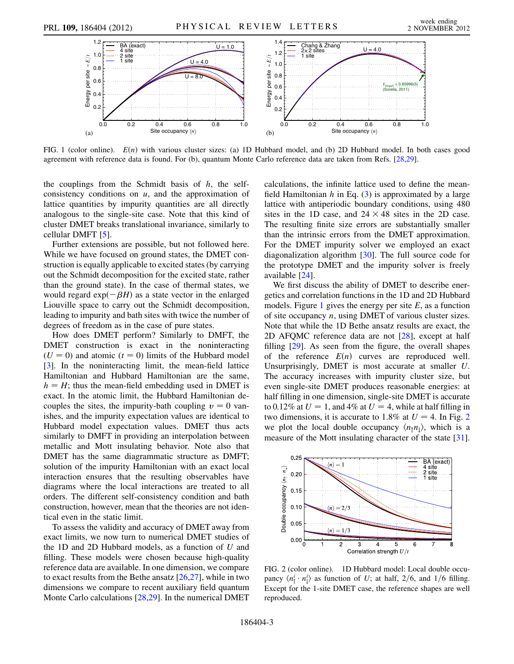<span id="page-2-0"></span>

FIG. 1 (color online).  $E(n)$  with various cluster sizes: (a) 1D Hubbard model, and (b) 2D Hubbard model. In both cases good agreement with reference data is found. For (b), quantum Monte Carlo reference data are taken from Refs. [\[28,](#page-4-17)[29\]](#page-4-18).

the couplings from the Schmidt basis of  $h$ , the selfconsistency conditions on  $u$ , and the approximation of lattice quantities by impurity quantities are all directly analogous to the single-site case. Note that this kind of cluster DMET breaks translational invariance, similarly to cellular DMFT [\[5](#page-4-1)].

Further extensions are possible, but not followed here. While we have focused on ground states, the DMET construction is equally applicable to excited states (by carrying out the Schmidt decomposition for the excited state, rather than the ground state). In the case of thermal states, we would regard  $exp(-\beta H)$  as a state vector in the enlarged Liouville space to carry out the Schmidt decomposition, leading to impurity and bath sites with twice the number of degrees of freedom as in the case of pure states.

How does DMET perform? Similarly to DMFT, the DMET construction is exact in the noninteracting  $(U = 0)$  and atomic  $(t = 0)$  limits of the Hubbard model [\[3\]](#page-4-14). In the noninteracting limit, the mean-field lattice Hamiltonian and Hubbard Hamiltonian are the same,  $h = H$ ; thus the mean-field embedding used in DMET is exact. In the atomic limit, the Hubbard Hamiltonian decouples the sites, the impurity-bath coupling  $v = 0$  vanishes, and the impurity expectation values are identical to Hubbard model expectation values. DMET thus acts similarly to DMFT in providing an interpolation between metallic and Mott insulating behavior. Note also that DMET has the same diagrammatic structure as DMFT; solution of the impurity Hamiltonian with an exact local interaction ensures that the resulting observables have diagrams where the local interactions are treated to all orders. The different self-consistency condition and bath construction, however, mean that the theories are not identical even in the static limit.

To assess the validity and accuracy of DMET away from exact limits, we now turn to numerical DMET studies of the 1D and 2D Hubbard models, as a function of  $U$  and filling. These models were chosen because high-quality reference data are available. In one dimension, we compare to exact results from the Bethe ansatz [\[26](#page-4-15)[,27\]](#page-4-16), while in two dimensions we compare to recent auxiliary field quantum Monte Carlo calculations [[28](#page-4-17)[,29](#page-4-18)]. In the numerical DMET calculations, the infinite lattice used to define the meanfield Hamiltonian  $h$  in Eq. [\(3](#page-1-1)) is approximated by a large lattice with antiperiodic boundary conditions, using 480 sites in the 1D case, and  $24 \times 48$  sites in the 2D case. The resulting finite size errors are substantially smaller than the intrinsic errors from the DMET approximation. For the DMET impurity solver we employed an exact diagonalization algorithm [\[30\]](#page-4-19). The full source code for the prototype DMET and the impurity solver is freely available [\[24\]](#page-4-12).

We first discuss the ability of DMET to describe energetics and correlation functions in the 1D and 2D Hubbard models. Figure [1](#page-2-0) gives the energy per site  $E$ , as a function of site occupancy n, using DMET of various cluster sizes. Note that while the 1D Bethe ansatz results are exact, the 2D AFQMC reference data are not [\[28\]](#page-4-17), except at half filling [[29](#page-4-18)]. As seen from the figure, the overall shapes of the reference  $E(n)$  curves are reproduced well. Unsurprisingly, DMET is most accurate at smaller U. The accuracy increases with impurity cluster size, but even single-site DMET produces reasonable energies: at half filling in one dimension, single-site DMET is accurate to 0.12% at  $U = 1$ , and 4% at  $U = 4$ , while at half filling in two dimensions, it is accurate to 1.8% at  $U = 4$ . In Fig. [2](#page-2-1). we plot the local double occupancy  $\langle n_1 n_1 \rangle$ , which is a measure of the Mott insulating character of the state [[31\]](#page-4-20).

<span id="page-2-1"></span>

FIG. 2 (color online). 1D Hubbard model: Local double occupancy  $\langle n_1^i \cdot n_1^i \rangle$  as function of U; at half, 2/6, and 1/6 filling.<br>Execut for the 1 site DMET case, the reference shapes are well Except for the 1-site DMET case, the reference shapes are well reproduced.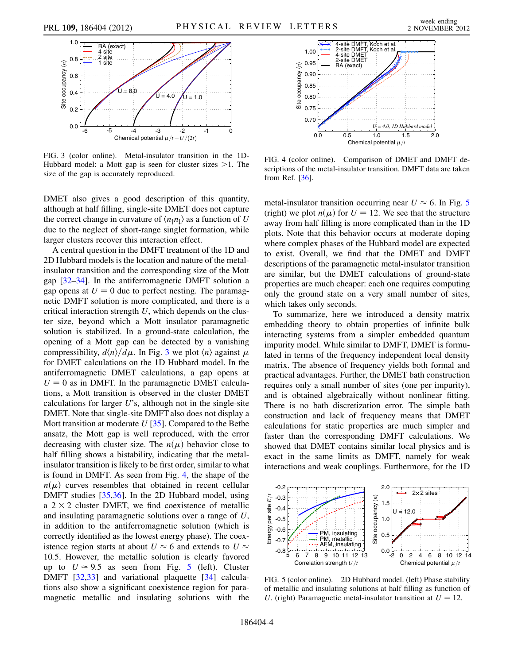<span id="page-3-0"></span>

FIG. 3 (color online). Metal-insulator transition in the 1D-Hubbard model: a Mott gap is seen for cluster sizes >1. The size of the gap is accurately reproduced.

DMET also gives a good description of this quantity, although at half filling, single-site DMET does not capture the correct change in curvature of  $\langle n_1 n_1 \rangle$  as a function of U due to the neglect of short-range singlet formation, while larger clusters recover this interaction effect.

A central question in the DMFT treatment of the 1D and 2D Hubbard models is the location and nature of the metalinsulator transition and the corresponding size of the Mott gap [[32](#page-4-21)–[34](#page-4-22)]. In the antiferromagnetic DMFT solution a gap opens at  $U = 0$  due to perfect nesting. The paramagnetic DMFT solution is more complicated, and there is a critical interaction strength  $U$ , which depends on the cluster size, beyond which a Mott insulator paramagnetic solution is stabilized. In a ground-state calculation, the opening of a Mott gap can be detected by a vanishing compressibility,  $d\langle n \rangle / d\mu$ . In Fig. [3](#page-3-0) we plot  $\langle n \rangle$  against  $\mu$ for DMET calculations on the 1D Hubbard model. In the antiferromagnetic DMET calculations, a gap opens at  $U = 0$  as in DMFT. In the paramagnetic DMET calculations, a Mott transition is observed in the cluster DMET calculations for larger  $U$ 's, although not in the single-site DMET. Note that single-site DMFT also does not display a Mott transition at moderate  $U$  [[35](#page-4-23)]. Compared to the Bethe ansatz, the Mott gap is well reproduced, with the error decreasing with cluster size. The  $n(\mu)$  behavior close to half filling shows a bistability, indicating that the metalinsulator transition is likely to be first order, similar to what is found in DMFT. As seen from Fig. [4](#page-3-1), the shape of the  $n(\mu)$  curves resembles that obtained in recent cellular DMFT studies [\[35](#page-4-23)[,36\]](#page-4-24). In the 2D Hubbard model, using a  $2 \times 2$  cluster DMET, we find coexistence of metallic and insulating paramagnetic solutions over a range of U, in addition to the antiferromagnetic solution (which is correctly identified as the lowest energy phase). The coexistence region starts at about  $U \approx 6$  and extends to  $U \approx$ 10:5. However, the metallic solution is clearly favored up to  $U \approx 9.5$  $U \approx 9.5$  as seen from Fig. 5 (left). Cluster DMFT [\[32,](#page-4-21)[33](#page-4-25)] and variational plaquette [[34](#page-4-22)] calculations also show a significant coexistence region for paramagnetic metallic and insulating solutions with the

<span id="page-3-1"></span>

FIG. 4 (color online). Comparison of DMET and DMFT descriptions of the metal-insulator transition. DMFT data are taken from Ref. [[36](#page-4-24)].

metal-insulator transition occurring near  $U \approx 6$ . In Fig. [5](#page-3-2) (right) we plot  $n(\mu)$  for  $U = 12$ . We see that the structure away from half filling is more complicated than in the 1D plots. Note that this behavior occurs at moderate doping where complex phases of the Hubbard model are expected to exist. Overall, we find that the DMET and DMFT descriptions of the paramagnetic metal-insulator transition are similar, but the DMET calculations of ground-state properties are much cheaper: each one requires computing only the ground state on a very small number of sites, which takes only seconds.

To summarize, here we introduced a density matrix embedding theory to obtain properties of infinite bulk interacting systems from a simpler embedded quantum impurity model. While similar to DMFT, DMET is formulated in terms of the frequency independent local density matrix. The absence of frequency yields both formal and practical advantages. Further, the DMET bath construction requires only a small number of sites (one per impurity), and is obtained algebraically without nonlinear fitting. There is no bath discretization error. The simple bath construction and lack of frequency means that DMET calculations for static properties are much simpler and faster than the corresponding DMFT calculations. We showed that DMET contains similar local physics and is exact in the same limits as DMFT, namely for weak interactions and weak couplings. Furthermore, for the 1D

<span id="page-3-2"></span>

FIG. 5 (color online). 2D Hubbard model. (left) Phase stability of metallic and insulating solutions at half filling as function of U. (right) Paramagnetic metal-insulator transition at  $U = 12$ .